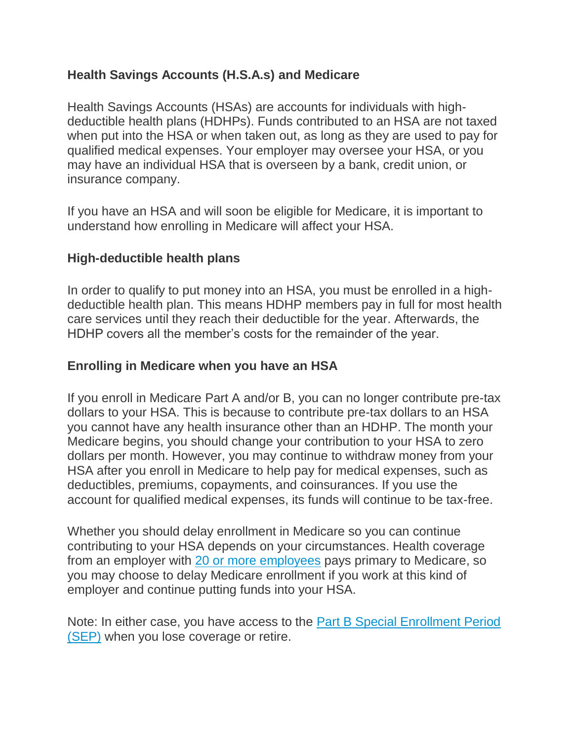## **Health Savings Accounts (H.S.A.s) and Medicare**

Health Savings Accounts (HSAs) are accounts for individuals with highdeductible health plans (HDHPs). Funds contributed to an HSA are not taxed when put into the HSA or when taken out, as long as they are used to pay for qualified medical expenses. Your employer may oversee your HSA, or you may have an individual HSA that is overseen by a bank, credit union, or insurance company.

If you have an HSA and will soon be eligible for Medicare, it is important to understand how enrolling in Medicare will affect your HSA.

## **High-deductible health plans**

In order to qualify to put money into an HSA, you must be enrolled in a highdeductible health plan. This means HDHP members pay in full for most health care services until they reach their deductible for the year. Afterwards, the HDHP covers all the member's costs for the remainder of the year.

## **Enrolling in Medicare when you have an HSA**

If you enroll in Medicare Part A and/or B, you can no longer contribute pre-tax dollars to your HSA. This is because to contribute pre-tax dollars to an HSA you cannot have any health insurance other than an HDHP. The month your Medicare begins, you should change your contribution to your HSA to zero dollars per month. However, you may continue to withdraw money from your HSA after you enroll in Medicare to help pay for medical expenses, such as deductibles, premiums, copayments, and coinsurances. If you use the account for qualified medical expenses, its funds will continue to be tax-free.

Whether you should delay enrollment in Medicare so you can continue contributing to your HSA depends on your circumstances. Health coverage from an employer with [20 or more employees](https://www.medicareinteractive.org/get-answers/coordinating-medicare-with-other-types-of-insurance/job-based-insurance-and-medicare/job-based-insurance-when-you-turn-65) pays primary to Medicare, so you may choose to delay Medicare enrollment if you work at this kind of employer and continue putting funds into your HSA.

Note: In either case, you have access to the Part [B Special Enrollment Period](https://www.medicareinteractive.org/get-answers/coordinating-medicare-with-other-types-of-insurance/job-based-insurance-and-medicare/enrolling-in-medicare-with-job-based-insurance)  [\(SEP\)](https://www.medicareinteractive.org/get-answers/coordinating-medicare-with-other-types-of-insurance/job-based-insurance-and-medicare/enrolling-in-medicare-with-job-based-insurance) when you lose coverage or retire.